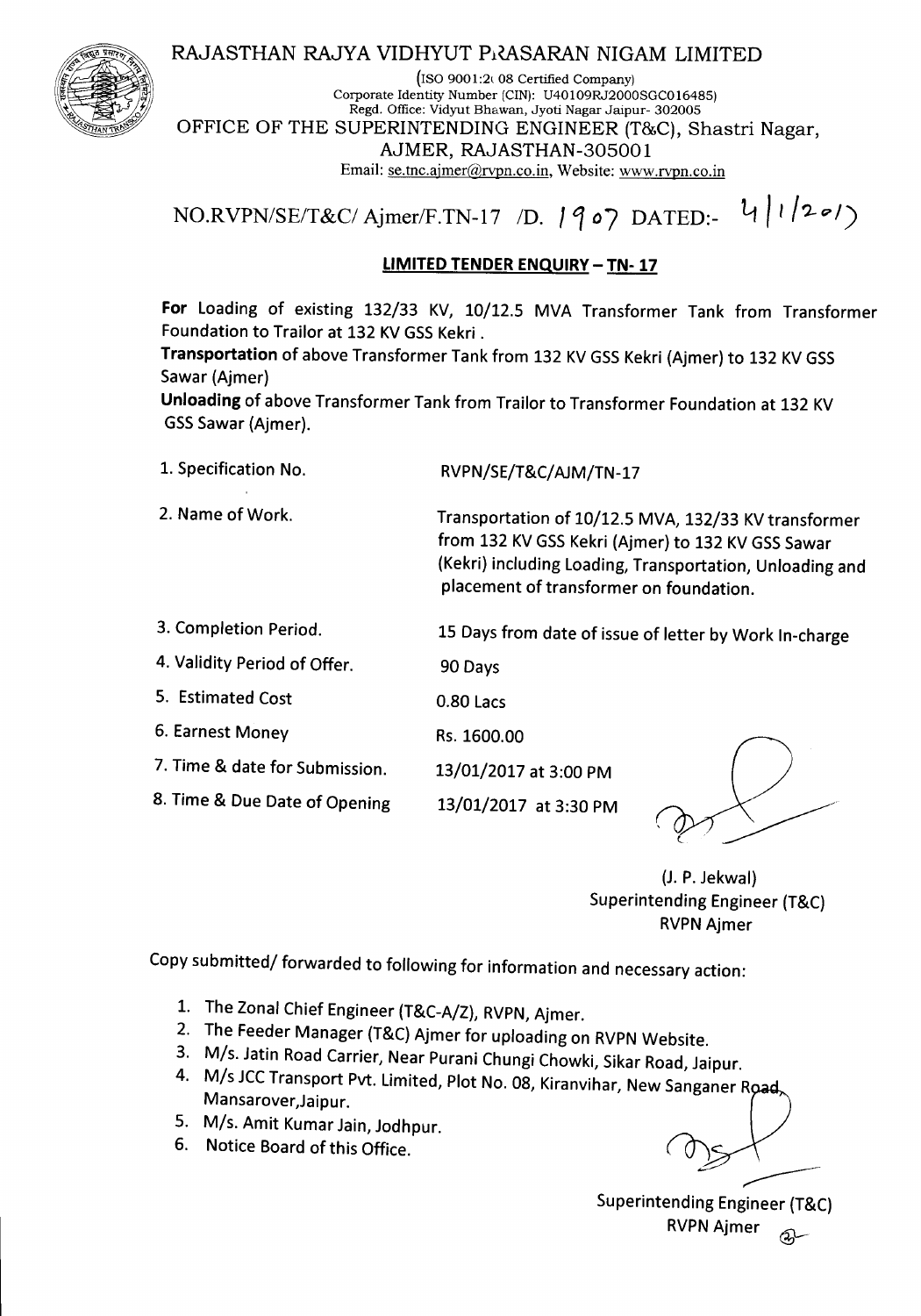# RAJASTHAN RAJYA VIDHYUT PRASARAN NIGAM LIMITED



 $($ ISO 9001:2 $($  08 Certified Company) Corporate Identity Number (CIN): U40109RJ2000SGC016485) Regd. Office: Vidyut Bhawan, Jyoti Nagar Jaipur- 302005 OFFICE OF THE SUPERINTENDING ENGINEER (T&C), Shastri Nagar, AJMER, RAJASTHAN-305001 Email: se.tnc.ajmer@rvpn.co.in, Website: www.rvpn.co.in

*NO.RVPN/SE/T&CI Ajrner/F.TN-17 ID. 1107* DATED:- Lt *<sup>I</sup>'/?-g./)*

### **LIMITED TENDER ENQUIRY - TN- 17**

**For** Loading of existing 132/33 KV, 10/12.5 MVA Transformer Tank from Transformer Foundation to Trailor at 132 KV GSS Kekri.

Transportation of above Transformer Tank from 132 KV GSS Kekri (Ajmer) to 132 KV GSS Sawar (Ajmer)

**Unloading** of above Transformer Tank from Trailor to Transformer Foundation at 132 KV GSSSawar (Ajmer).

1. Specification No. RVPN/SE/T&C/ AJM/TN-17

2. Name of Work. Transportation of 10/12.5 MVA, 132/33 KV transformer from 132 KV GSS Kekri (Ajmer) to 132 KV GSS Sawar (Kekri) including Loading, Transportation, Unloading and placement of transformer on foundation.

3. Completion Period. 15 Days from date of issue of letter by Work In-charge

13/01/2017 at 3:30 PM

4. Validity Period of Offer. 90 Days

5. Estimated Cost *O.BO* Lacs

6. Earnest Money Rs.1600.00

7. Time & date for Submission. 13/01/2017 at 3:00 PM

*B.* Time & Due Date of Opening

(J. P. Jekwal) Superintending Engineer (T&C) **RVPN Ajmer** 

Copy submitted/ forwarded to following for information and necessary action:

- 1. The Zonal Chief Engineer (T&C-A/Z), RVPN, Ajmer.
- 2. The Feeder Manager (T&C) Ajmer for uploading on RVPN Website.
- 3. M/s. Jatin Road Carrier, Near Purani Chungi Chowki, Sikar Road, Jaipur.
- 4. M/s JCC Transport Pvt. Limited, Plot No. 08, Kiranvihar, New Sanganer Road, Mansarover,Jaipur.
- 5. M/s. Amit Kumar Jain, Jodhpur.
- 6. Notice Board of this Office.

 $\overbrace{\phantom{1}}^{\prime}$ 

Superintending Engineer (T&C) RVPN Ajmer a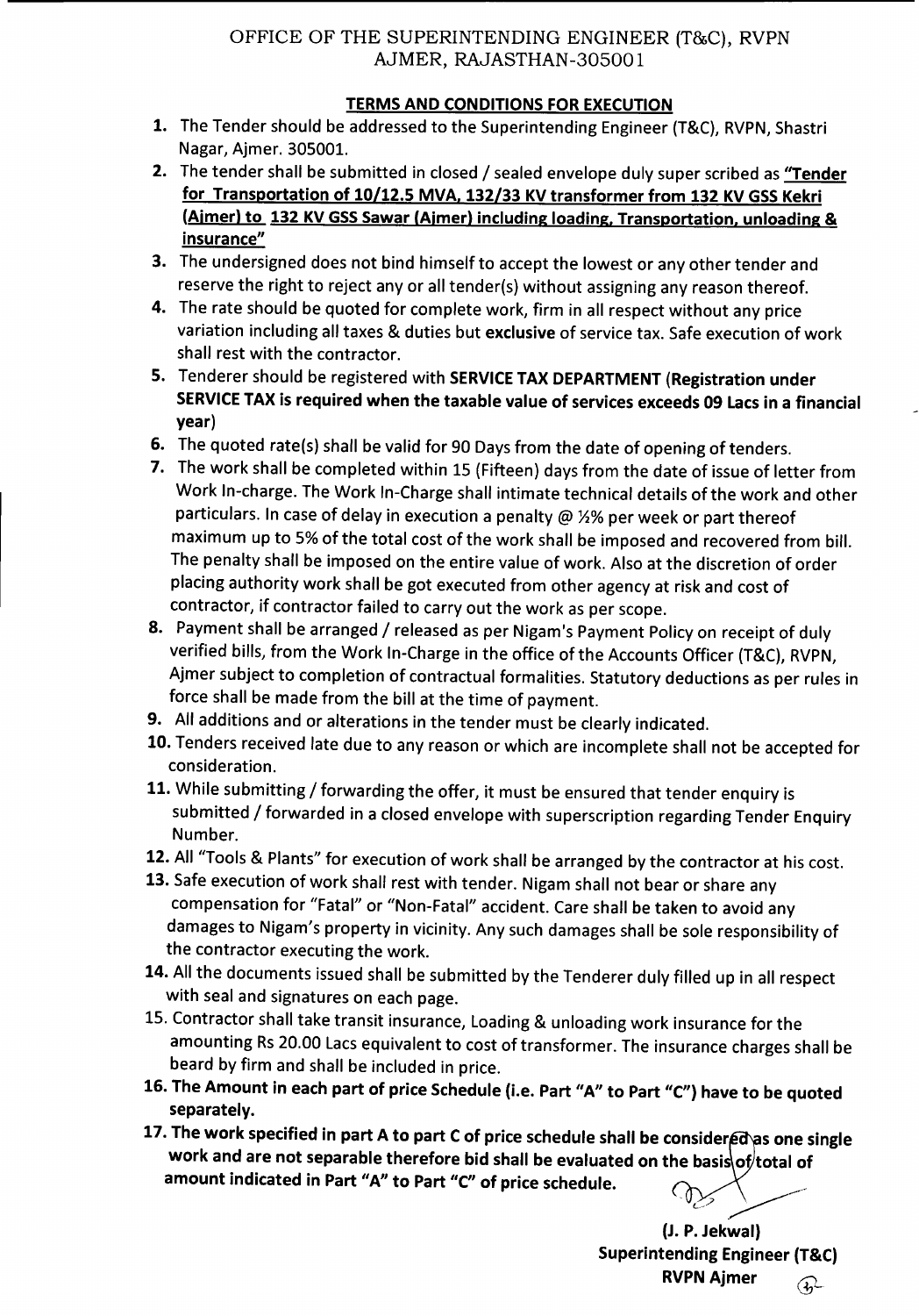# OFFICE OF THE SUPERINTENDING ENGINEER (T&C), RVPN AJMER, RAJASTHAN-30500 1

# **TERMS AND CONDITIONS FOR EXECUTION**

- 1. The Tender should be addressed to the Superintending Engineer (T&C), RVPN, Shastri Nagar, Ajmer. 305001.
- 2. The tender shall be submitted in closed / sealed envelope duly super scribed as "Tender for Transportation of 10/12.5 MVA, 132/33 KV transformer from 132 KV GSS Kekri (Aimer) to 132 KV GSS Sawar (Aimer) including loading, Transportation, unloading & insurance"
- 3. The undersigned does not bind himself to accept the lowest or any other tender and reserve the right to reject any or all tender(s) without assigning any reason thereof.
- 4. The rate should be quoted for complete work, firm in all respect without any price variation including all taxes & duties but exclusive of service tax. Safe execution of work shall rest with the contractor.
- 5. Tenderer should be registered with SERVICE TAX DEPARTMENT (Registration under SERVICE TAX is required when the taxable value of services exceeds 09 Lacs in a financial year)
- 6. The quoted rate(s) shall be valid for 90 Days from the date of opening of tenders.
- 7. The work shall be completed within 15 (Fifteen) days from the date of issue of letter from Work In-charge. The Work In-Charge shall intimate technical details of the work and other particulars. In case of delay in execution a penalty @  $1/2\%$  per week or part thereof maximum up to 5%of the total cost of the work shall be imposed and recovered from bill. The penalty shall be imposed on the entire value of work. Also at the discretion of order placing authority work shall be got executed from other agencyat risk and cost of contractor, if contractor failed to carry out the work as per scope.
- 8. Payment shall be arranged / released as per Nigam's Payment Policy on receipt of duly verified bills, from the Work In-Charge in the office of the Accounts Officer (T&C), RVPN, Ajmer subject to completion of contractual formalities. Statutory deductions as per rules in force shall be made from the bill at the time of payment.
- 9. All additions and or alterations in the tender must be clearly indicated.
- 10. Tenders received late due to any reason or which are incomplete shall not be accepted for consideration.
- 11. While submitting / forwarding the offer, it must be ensured that tender enquiry is submitted / forwarded in a closed envelope with superscription regarding Tender Enquiry Number.
- 12. All "Tools & Plants" for execution of work shall be arranged by the contractor at his cost.
- 13. Safe execution of work shall rest with tender. Nigam shall not bear or share any compensation for "Fatal" or "Non-Fatal" accident. Care shall be taken to avoid any damages to Nigam's property in vicinity. Any such damages shall be sole responsibility of the contractor executing the work.
- 14. All the documents issued shall be submitted by the Tenderer duly filled up in all respect with seal and signatures on each page.
- 15. Contractor shall take transit insurance, Loading& unloading work insurance for the amounting Rs 20.00 Lacs equivalent to cost of transformer. The insurance charges shall be beard by firm and shall be included in price.
- 16. The Amount in each part of price Schedule (i.e. Part "A" to Part *"C")* have to be quoted separately.
- 17. The work specified in part A to part C of price schedule shall be considered as one single work and are not separable therefore bid shall be evaluated on the basis of total of amount indicated in Part "A" to Part "C" of price schedule.

- c'>' *\_y-----*

(J.P.Jekwal) Superintending Engineer (T&C) RVPN Ajmer  $\widehat{Q}$